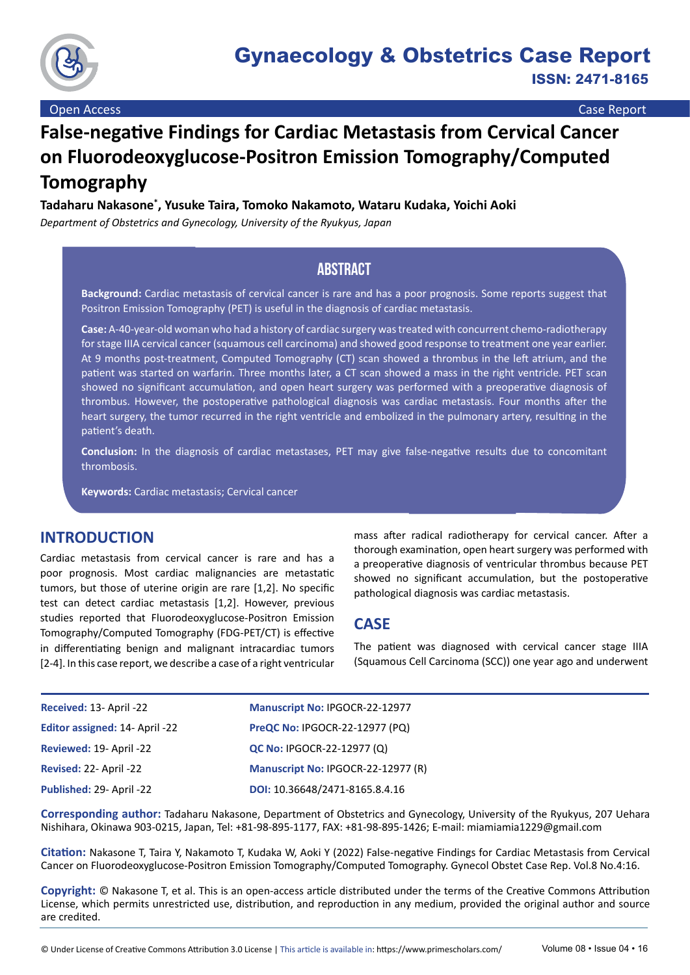

# **False-negative Findings for Cardiac Metastasis from Cervical Cancer on Fluorodeoxyglucose-Positron Emission Tomography/Computed Tomography**

## **Tadaharu Nakasone\* , Yusuke Taira, Tomoko Nakamoto, Wataru Kudaka, Yoichi Aoki**

*Department of Obstetrics and Gynecology, University of the Ryukyus, Japan*

# **Abstract**

**Background:** Cardiac metastasis of cervical cancer is rare and has a poor prognosis. Some reports suggest that Positron Emission Tomography (PET) is useful in the diagnosis of cardiac metastasis.

**Case:** A-40-year-old woman who had a history of cardiac surgery was treated with concurrent chemo-radiotherapy for stage IIIA cervical cancer (squamous cell carcinoma) and showed good response to treatment one year earlier. At 9 months post-treatment, Computed Tomography (CT) scan showed a thrombus in the left atrium, and the patient was started on warfarin. Three months later, a CT scan showed a mass in the right ventricle. PET scan showed no significant accumulation, and open heart surgery was performed with a preoperative diagnosis of thrombus. However, the postoperative pathological diagnosis was cardiac metastasis. Four months after the heart surgery, the tumor recurred in the right ventricle and embolized in the pulmonary artery, resulting in the patient's death.

**Conclusion:** In the diagnosis of cardiac metastases, PET may give false-negative results due to concomitant thrombosis.

**Keywords:** Cardiac metastasis; Cervical cancer

## **INTRODUCTION**

Cardiac metastasis from cervical cancer is rare and has a poor prognosis. Most cardiac malignancies are metastatic tumors, but those of uterine origin are rare [1,2]. No specific test can detect cardiac metastasis [1,2]. However, previous studies reported that Fluorodeoxyglucose-Positron Emission Tomography/Computed Tomography (FDG-PET/CT) is effective in differentiating benign and malignant intracardiac tumors [2-4]. In this case report, we describe a case of a right ventricular mass after radical radiotherapy for cervical cancer. After a thorough examination, open heart surgery was performed with a preoperative diagnosis of ventricular thrombus because PET showed no significant accumulation, but the postoperative pathological diagnosis was cardiac metastasis.

# **CASE**

The patient was diagnosed with cervical cancer stage IIIA (Squamous Cell Carcinoma (SCC)) one year ago and underwent

| Received: 13- April -22         | <b>Manuscript No: IPGOCR-22-12977</b> |
|---------------------------------|---------------------------------------|
| Editor assigned: 14- April -22  | PreQC No: IPGOCR-22-12977 (PQ)        |
| Reviewed: 19- April -22         | <b>QC No: IPGOCR-22-12977 (Q)</b>     |
| Revised: 22- April -22          | Manuscript No: IPGOCR-22-12977 (R)    |
| <b>Published: 29- April -22</b> | DOI: 10.36648/2471-8165.8.4.16        |

**Corresponding author:** Tadaharu Nakasone, Department of Obstetrics and Gynecology, University of the Ryukyus, 207 Uehara Nishihara, Okinawa 903-0215, Japan, Tel: +81-98-895-1177, FAX: +81-98-895-1426; E-mail: [miamiamia1229@gmail.com](mailto:miamiamia1229@gmail.com)

**Citation:** Nakasone T, Taira Y, Nakamoto T, Kudaka W, Aoki Y (2022) False-negative Findings for Cardiac Metastasis from Cervical Cancer on Fluorodeoxyglucose-Positron Emission Tomography/Computed Tomography. Gynecol Obstet Case Rep. Vol.8 No.4:16.

**Copyright:** © Nakasone T, et al. This is an open-access article distributed under the terms of the Creative Commons Attribution License, which permits unrestricted use, distribution, and reproduction in any medium, provided the original author and source are credited.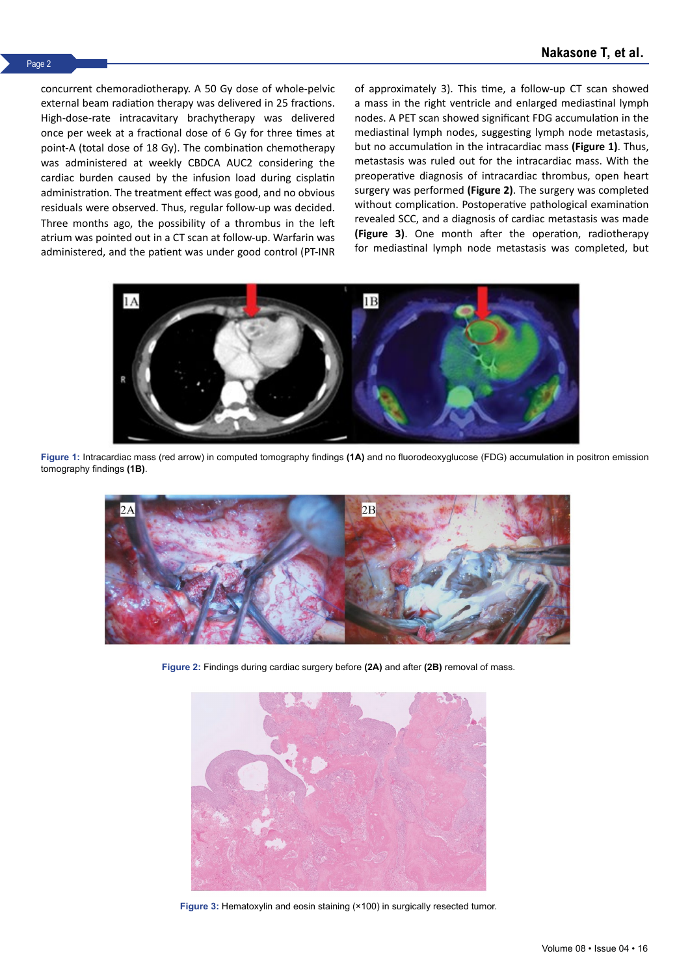concurrent chemoradiotherapy. A 50 Gy dose of whole-pelvic external beam radiation therapy was delivered in 25 fractions. High-dose-rate intracavitary brachytherapy was delivered once per week at a fractional dose of 6 Gy for three times at point-A (total dose of 18 Gy). The combination chemotherapy was administered at weekly CBDCA AUC2 considering the cardiac burden caused by the infusion load during cisplatin administration. The treatment effect was good, and no obvious residuals were observed. Thus, regular follow-up was decided. Three months ago, the possibility of a thrombus in the left atrium was pointed out in a CT scan at follow-up. Warfarin was administered, and the patient was under good control (PT-INR of approximately 3). This time, a follow-up CT scan showed a mass in the right ventricle and enlarged mediastinal lymph nodes. A PET scan showed significant FDG accumulation in the mediastinal lymph nodes, suggesting lymph node metastasis, but no accumulation in the intracardiac mass **(Figure 1)**. Thus, metastasis was ruled out for the intracardiac mass. With the preoperative diagnosis of intracardiac thrombus, open heart surgery was performed **(Figure 2)**. The surgery was completed without complication. Postoperative pathological examination revealed SCC, and a diagnosis of cardiac metastasis was made **(Figure 3)**. One month after the operation, radiotherapy for mediastinal lymph node metastasis was completed, but



**Figure 1:** Intracardiac mass (red arrow) in computed tomography findings **(1A)** and no fluorodeoxyglucose (FDG) accumulation in positron emission tomography findings **(1B)**.



**Figure 2:** Findings during cardiac surgery before **(2A)** and after **(2B)** removal of mass.



Figure 3: Hematoxylin and eosin staining (×100) in surgically resected tumor.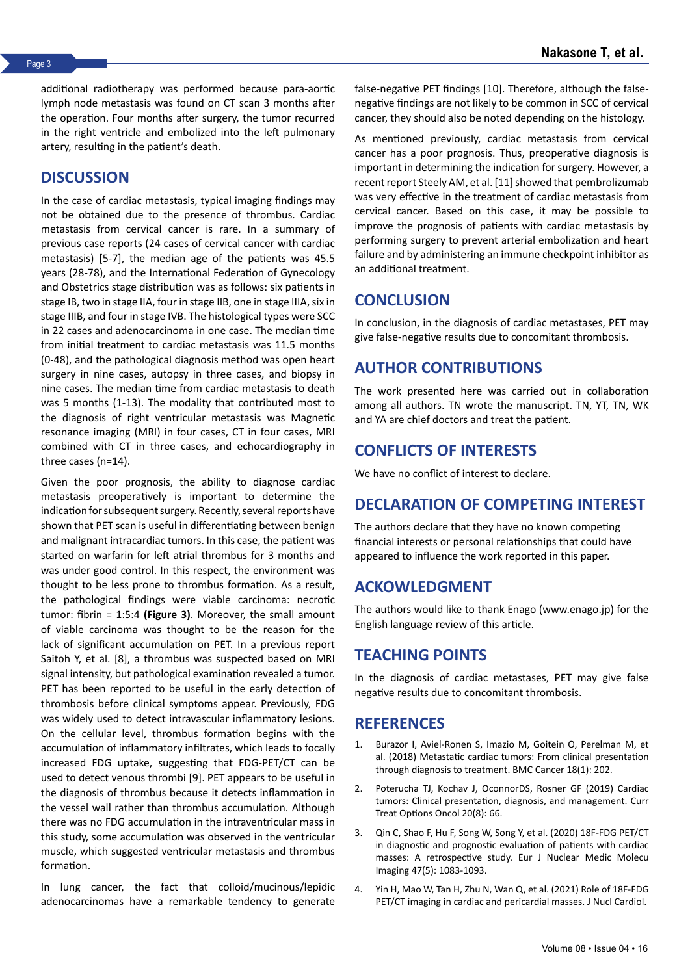additional radiotherapy was performed because para-aortic lymph node metastasis was found on CT scan 3 months after the operation. Four months after surgery, the tumor recurred in the right ventricle and embolized into the left pulmonary artery, resulting in the patient's death.

## **DISCUSSION**

In the case of cardiac metastasis, typical imaging findings may not be obtained due to the presence of thrombus. Cardiac metastasis from cervical cancer is rare. In a summary of previous case reports (24 cases of cervical cancer with cardiac metastasis) [5-7], the median age of the patients was 45.5 years (28-78), and the International Federation of Gynecology and Obstetrics stage distribution was as follows: six patients in stage IB, two in stage IIA, four in stage IIB, one in stage IIIA, six in stage IIIB, and four in stage IVB. The histological types were SCC in 22 cases and adenocarcinoma in one case. The median time from initial treatment to cardiac metastasis was 11.5 months (0-48), and the pathological diagnosis method was open heart surgery in nine cases, autopsy in three cases, and biopsy in nine cases. The median time from cardiac metastasis to death was 5 months (1-13). The modality that contributed most to the diagnosis of right ventricular metastasis was Magnetic resonance imaging (MRI) in four cases, CT in four cases, MRI combined with CT in three cases, and echocardiography in three cases (n=14).

Given the poor prognosis, the ability to diagnose cardiac metastasis preoperatively is important to determine the indication for subsequent surgery. Recently, several reports have shown that PET scan is useful in differentiating between benign and malignant intracardiac tumors. In this case, the patient was started on warfarin for left atrial thrombus for 3 months and was under good control. In this respect, the environment was thought to be less prone to thrombus formation. As a result, the pathological findings were viable carcinoma: necrotic tumor: fibrin = 1:5:4 **(Figure 3)**. Moreover, the small amount of viable carcinoma was thought to be the reason for the lack of significant accumulation on PET. In a previous report Saitoh Y, et al. [8], a thrombus was suspected based on MRI signal intensity, but pathological examination revealed a tumor. PET has been reported to be useful in the early detection of thrombosis before clinical symptoms appear. Previously, FDG was widely used to detect intravascular inflammatory lesions. On the cellular level, thrombus formation begins with the accumulation of inflammatory infiltrates, which leads to focally increased FDG uptake, suggesting that FDG-PET/CT can be used to detect venous thrombi [9]. PET appears to be useful in the diagnosis of thrombus because it detects inflammation in the vessel wall rather than thrombus accumulation. Although there was no FDG accumulation in the intraventricular mass in this study, some accumulation was observed in the ventricular muscle, which suggested ventricular metastasis and thrombus formation.

In lung cancer, the fact that colloid/mucinous/lepidic adenocarcinomas have a remarkable tendency to generate false-negative PET findings [10]. Therefore, although the falsenegative findings are not likely to be common in SCC of cervical cancer, they should also be noted depending on the histology.

As mentioned previously, cardiac metastasis from cervical cancer has a poor prognosis. Thus, preoperative diagnosis is important in determining the indication for surgery. However, a recent report Steely AM, et al. [11] showed that pembrolizumab was very effective in the treatment of cardiac metastasis from cervical cancer. Based on this case, it may be possible to improve the prognosis of patients with cardiac metastasis by performing surgery to prevent arterial embolization and heart failure and by administering an immune checkpoint inhibitor as an additional treatment.

## **CONCLUSION**

In conclusion, in the diagnosis of cardiac metastases, PET may give false-negative results due to concomitant thrombosis.

## **AUTHOR CONTRIBUTIONS**

The work presented here was carried out in collaboration among all authors. TN wrote the manuscript. TN, YT, TN, WK and YA are chief doctors and treat the patient.

## **CONFLICTS OF INTERESTS**

We have no conflict of interest to declare.

# **DECLARATION OF COMPETING INTEREST**

The authors declare that they have no known competing financial interests or personal relationships that could have appeared to influence the work reported in this paper.

## **ACKOWLEDGMENT**

The authors would like to thank Enago (www.enago.jp) for the English language review of this article.

# **TEACHING POINTS**

In the diagnosis of cardiac metastases, PET may give false negative results due to concomitant thrombosis.

## **REFERENCES**

- 1. Burazor I, Aviel-Ronen S, Imazio M, Goitein O, Perelman M, et al. (2018) [Metastatic cardiac tumors: From clinical presentation](https://bmccancer.biomedcentral.com/articles/10.1186/s12885-018-4070-x)  [through diagnosis to treatment](https://bmccancer.biomedcentral.com/articles/10.1186/s12885-018-4070-x). BMC Cancer 18(1): 202.
- 2. Poterucha TJ, Kochav J, OconnorDS, Rosner GF (2019) [Cardiac](https://link.springer.com/article/10.1007/s11864-019-0662-1)  [tumors: Clinical presentation, diagnosis, and management](https://link.springer.com/article/10.1007/s11864-019-0662-1). Curr Treat Options Oncol 20(8): 66.
- 3. Qin C, Shao F, Hu F, Song W, Song Y, et al. (2020) [18F-FDG PET/CT](https://link.springer.com/article/10.1007/s00259-019-04632-w)  [in diagnostic and prognostic evaluation of patients with cardiac](https://link.springer.com/article/10.1007/s00259-019-04632-w)  [masses: A retrospective study](https://link.springer.com/article/10.1007/s00259-019-04632-w). Eur J Nuclear Medic Molecu Imaging 47(5): 1083-1093.
- 4. Yin H, Mao W, Tan H, Zhu N, Wan Q, et al. (2021) [Role of 18F-FDG](https://link.springer.com/article/10.1007/s12350-020-02510-9)  [PET/CT imaging in cardiac and pericardial masses.](https://link.springer.com/article/10.1007/s12350-020-02510-9) J Nucl Cardiol.